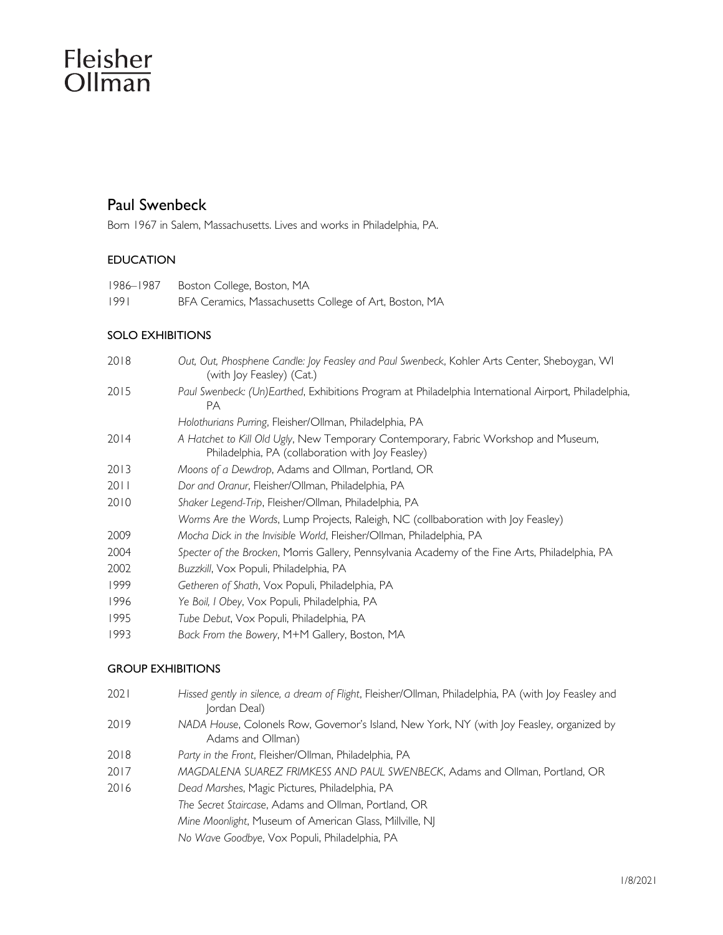# Fleisher Ollman

# Paul Swenbeck

Born 1967 in Salem, Massachusetts. Lives and works in Philadelphia, PA.

# EDUCATION

| 1986–1987 | Boston College, Boston, MA                             |
|-----------|--------------------------------------------------------|
| 1991      | BFA Ceramics, Massachusetts College of Art, Boston, MA |

### SOLO EXHIBITIONS

| 2018 | Out, Out, Phosphene Candle: Joy Feasley and Paul Swenbeck, Kohler Arts Center, Sheboygan, WI<br>(with Joy Feasley) (Cat.)                |
|------|------------------------------------------------------------------------------------------------------------------------------------------|
| 2015 | Paul Swenbeck: (Un)Earthed, Exhibitions Program at Philadelphia International Airport, Philadelphia,<br><b>PA</b>                        |
|      | Holothurians Purring, Fleisher/Ollman, Philadelphia, PA                                                                                  |
| 2014 | A Hatchet to Kill Old Ugly, New Temporary Contemporary, Fabric Workshop and Museum,<br>Philadelphia, PA (collaboration with Joy Feasley) |
| 2013 | Moons of a Dewdrop, Adams and Ollman, Portland, OR                                                                                       |
| 2011 | Dor and Oranur, Fleisher/Ollman, Philadelphia, PA                                                                                        |
| 2010 | Shaker Legend-Trip, Fleisher/Ollman, Philadelphia, PA                                                                                    |
|      | Worms Are the Words, Lump Projects, Raleigh, NC (collbaboration with Joy Feasley)                                                        |
| 2009 | Mocha Dick in the Invisible World, Fleisher/Ollman, Philadelphia, PA                                                                     |
| 2004 | Specter of the Brocken, Morris Gallery, Pennsylvania Academy of the Fine Arts, Philadelphia, PA                                          |
| 2002 | Buzzkill, Vox Populi, Philadelphia, PA                                                                                                   |
| 1999 | Getheren of Shath, Vox Populi, Philadelphia, PA                                                                                          |
| 1996 | Ye Boil, I Obey, Vox Populi, Philadelphia, PA                                                                                            |
| 1995 | Tube Debut, Vox Populi, Philadelphia, PA                                                                                                 |
|      |                                                                                                                                          |

1993 *Back From the Bowery*, M+M Gallery, Boston, MA

### GROUP EXHIBITIONS

| 2021 | Hissed gently in silence, a dream of Flight, Fleisher/Ollman, Philadelphia, PA (with Joy Feasley and |  |  |  |
|------|------------------------------------------------------------------------------------------------------|--|--|--|
|      | Jordan Deal)                                                                                         |  |  |  |

- 2019 *NADA House*, Colonels Row, Governor's Island, New York, NY (with Joy Feasley, organized by Adams and Ollman)
- 2018 *Party in the Front*, Fleisher/Ollman, Philadelphia, PA
- 2017 *MAGDALENA SUAREZ FRIMKESS AND PAUL SWENBECK*, Adams and Ollman, Portland, OR
- 2016 *Dead Marshes*, Magic Pictures, Philadelphia, PA

*The Secret Staircase*, Adams and Ollman, Portland, OR

*Mine Moonlight*, Museum of American Glass, Millville, NJ

*No Wave Goodbye*, Vox Populi, Philadelphia, PA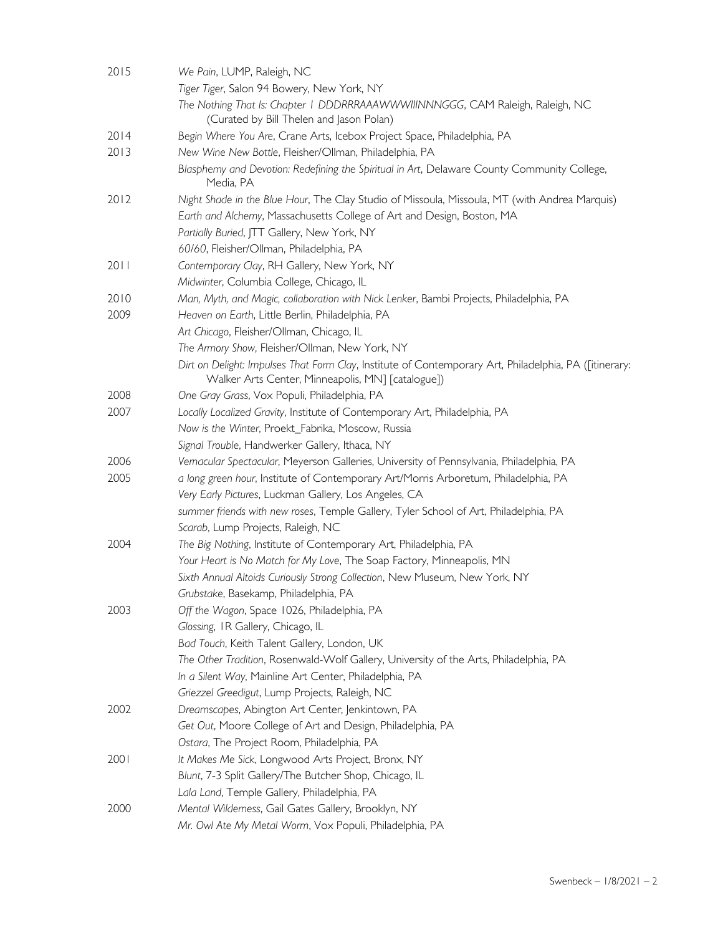| 2015 | We Pain, LUMP, Raleigh, NC                                                                                                                                  |
|------|-------------------------------------------------------------------------------------------------------------------------------------------------------------|
|      | Tiger Tiger, Salon 94 Bowery, New York, NY                                                                                                                  |
|      | The Nothing That Is: Chapter I DDDRRRAAAWWWIIINNNGGG, CAM Raleigh, Raleigh, NC<br>(Curated by Bill Thelen and Jason Polan)                                  |
| 2014 | Begin Where You Are, Crane Arts, Icebox Project Space, Philadelphia, PA                                                                                     |
| 2013 | New Wine New Bottle, Fleisher/Ollman, Philadelphia, PA                                                                                                      |
|      | Blasphemy and Devotion: Redefining the Spiritual in Art, Delaware County Community College,<br>Media, PA                                                    |
| 2012 | Night Shade in the Blue Hour, The Clay Studio of Missoula, Missoula, MT (with Andrea Marquis)                                                               |
|      | Earth and Alchemy, Massachusetts College of Art and Design, Boston, MA                                                                                      |
|      | Partially Buried, JTT Gallery, New York, NY                                                                                                                 |
|      | 60/60, Fleisher/Ollman, Philadelphia, PA                                                                                                                    |
| 2011 | Contemporary Clay, RH Gallery, New York, NY                                                                                                                 |
|      | Midwinter, Columbia College, Chicago, IL                                                                                                                    |
| 2010 | Man, Myth, and Magic, collaboration with Nick Lenker, Bambi Projects, Philadelphia, PA                                                                      |
| 2009 | Heaven on Earth, Little Berlin, Philadelphia, PA                                                                                                            |
|      | Art Chicago, Fleisher/Ollman, Chicago, IL                                                                                                                   |
|      | The Armory Show, Fleisher/Ollman, New York, NY                                                                                                              |
|      | Dirt on Delight: Impulses That Form Clay, Institute of Contemporary Art, Philadelphia, PA ([itinerary:<br>Walker Arts Center, Minneapolis, MN] [catalogue]) |
| 2008 | One Gray Grass, Vox Populi, Philadelphia, PA                                                                                                                |
| 2007 | Locally Localized Gravity, Institute of Contemporary Art, Philadelphia, PA                                                                                  |
|      | Now is the Winter, Proekt_Fabrika, Moscow, Russia                                                                                                           |
|      | Signal Trouble, Handwerker Gallery, Ithaca, NY                                                                                                              |
| 2006 | Vemacular Spectacular, Meyerson Galleries, University of Pennsylvania, Philadelphia, PA                                                                     |
| 2005 | a long green hour, Institute of Contemporary Art/Morris Arboretum, Philadelphia, PA                                                                         |
|      | Very Early Pictures, Luckman Gallery, Los Angeles, CA                                                                                                       |
|      | summer friends with new roses, Temple Gallery, Tyler School of Art, Philadelphia, PA                                                                        |
|      | Scarab, Lump Projects, Raleigh, NC                                                                                                                          |
| 2004 | The Big Nothing, Institute of Contemporary Art, Philadelphia, PA                                                                                            |
|      | Your Heart is No Match for My Love, The Soap Factory, Minneapolis, MN                                                                                       |
|      | Sixth Annual Altoids Curiously Strong Collection, New Museum, New York, NY                                                                                  |
|      | Grubstake, Basekamp, Philadelphia, PA                                                                                                                       |
| 2003 | Off the Wagon, Space 1026, Philadelphia, PA                                                                                                                 |
|      | Glossing, IR Gallery, Chicago, IL                                                                                                                           |
|      | Bad Touch, Keith Talent Gallery, London, UK                                                                                                                 |
|      | The Other Tradition, Rosenwald-Wolf Gallery, University of the Arts, Philadelphia, PA                                                                       |
|      | In a Silent Way, Mainline Art Center, Philadelphia, PA                                                                                                      |
|      | Griezzel Greedigut, Lump Projects, Raleigh, NC                                                                                                              |
| 2002 | Dreamscapes, Abington Art Center, Jenkintown, PA                                                                                                            |
|      | Get Out, Moore College of Art and Design, Philadelphia, PA                                                                                                  |
|      | Ostara, The Project Room, Philadelphia, PA                                                                                                                  |
| 200  | It Makes Me Sick, Longwood Arts Project, Bronx, NY                                                                                                          |
|      | Blunt, 7-3 Split Gallery/The Butcher Shop, Chicago, IL                                                                                                      |
|      | Lala Land, Temple Gallery, Philadelphia, PA                                                                                                                 |
| 2000 | Mental Wilderness, Gail Gates Gallery, Brooklyn, NY                                                                                                         |
|      | Mr. Owl Ate My Metal Worm, Vox Populi, Philadelphia, PA                                                                                                     |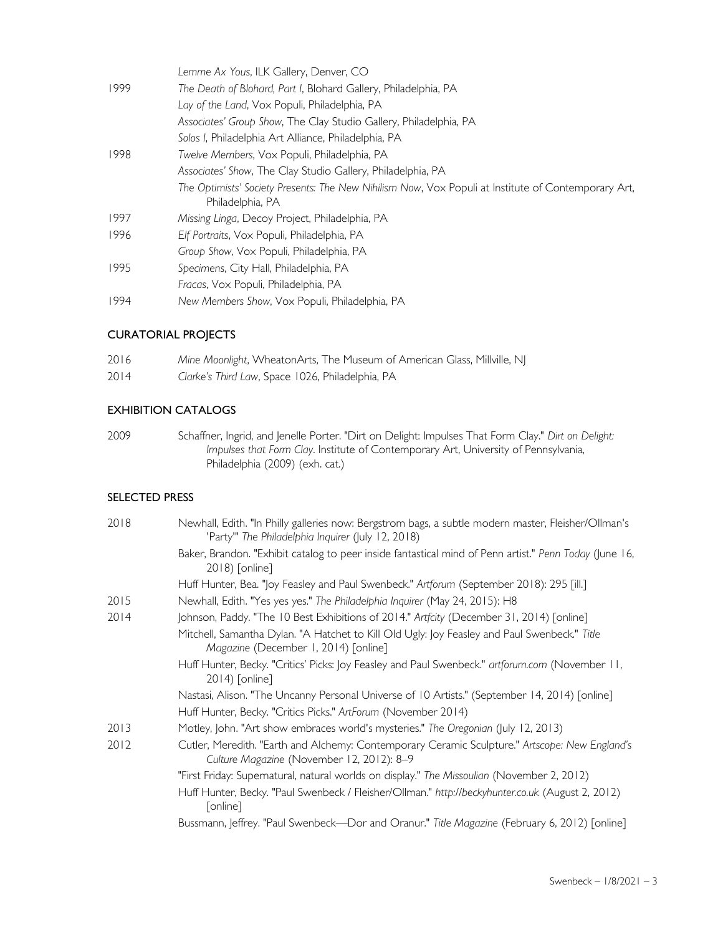|      | Lemme Ax Yous, ILK Gallery, Denver, CO                                                                                  |
|------|-------------------------------------------------------------------------------------------------------------------------|
| 1999 | The Death of Blohard, Part I, Blohard Gallery, Philadelphia, PA                                                         |
|      | Lay of the Land, Vox Populi, Philadelphia, PA                                                                           |
|      | Associates' Group Show, The Clay Studio Gallery, Philadelphia, PA                                                       |
|      | Solos I, Philadelphia Art Alliance, Philadelphia, PA                                                                    |
| 1998 | Twelve Members, Vox Populi, Philadelphia, PA                                                                            |
|      | Associates' Show, The Clay Studio Gallery, Philadelphia, PA                                                             |
|      | The Optimists' Society Presents: The New Nihilism Now, Vox Populi at Institute of Contemporary Art,<br>Philadelphia, PA |
| 1997 | Missing Linga, Decoy Project, Philadelphia, PA                                                                          |
| 1996 | Elf Portraits, Vox Populi, Philadelphia, PA                                                                             |
|      | Group Show, Vox Populi, Philadelphia, PA                                                                                |
| 1995 | Specimens, City Hall, Philadelphia, PA                                                                                  |
|      | Fracas, Vox Populi, Philadelphia, PA                                                                                    |
| 1994 | New Members Show, Vox Populi, Philadelphia, PA                                                                          |
|      |                                                                                                                         |

### CURATORIAL PROJECTS

| 2016 | Mine Moonlight, WheatonArts, The Museum of American Glass, Millville, NJ |
|------|--------------------------------------------------------------------------|
| 2014 | Clarke's Third Law, Space 1026, Philadelphia, PA                         |

# EXHIBITION CATALOGS

2009 Schaffner, Ingrid, and Jenelle Porter. "Dirt on Delight: Impulses That Form Clay." *Dirt on Delight: Impulses that Form Clay*. Institute of Contemporary Art, University of Pennsylvania, Philadelphia (2009) (exh. cat.)

# SELECTED PRESS

| 2018 | Newhall, Edith. "In Philly galleries now: Bergstrom bags, a subtle modern master, Fleisher/Ollman's<br>'Party'" The Philadelphia Inquirer (July 12, 2018) |
|------|-----------------------------------------------------------------------------------------------------------------------------------------------------------|
|      | Baker, Brandon. "Exhibit catalog to peer inside fantastical mind of Penn artist." Penn Today (June 16,<br>2018) [online]                                  |
|      | Huff Hunter, Bea. "Joy Feasley and Paul Swenbeck." Artforum (September 2018): 295 [ill.]                                                                  |
| 2015 | Newhall, Edith. "Yes yes yes." The Philadelphia Inquirer (May 24, 2015): H8                                                                               |
| 2014 | Johnson, Paddy. "The 10 Best Exhibitions of 2014." Artfcity (December 31, 2014) [online]                                                                  |
|      | Mitchell, Samantha Dylan. "A Hatchet to Kill Old Ugly: Joy Feasley and Paul Swenbeck." Title<br>Magazine (December 1, 2014) [online]                      |
|      | Huff Hunter, Becky. "Critics' Picks: Joy Feasley and Paul Swenbeck." artforum.com (November 11,<br>2014) [online]                                         |
|      | Nastasi, Alison. "The Uncanny Personal Universe of 10 Artists." (September 14, 2014) [online]                                                             |
|      | Huff Hunter, Becky. "Critics Picks." ArtForum (November 2014)                                                                                             |
| 2013 | Motley, John. "Art show embraces world's mysteries." The Oregonian (July 12, 2013)                                                                        |
| 2012 | Cutler, Meredith. "Earth and Alchemy: Contemporary Ceramic Sculpture." Artscope: New England's<br>Culture Magazine (November 12, 2012): 8-9               |
|      | "First Friday: Supernatural, natural worlds on display." The Missoulian (November 2, 2012)                                                                |
|      | Huff Hunter, Becky. "Paul Swenbeck / Fleisher/Ollman." http://beckyhunter.co.uk (August 2, 2012)<br>[online]                                              |
|      | Bussmann, Jeffrey. "Paul Swenbeck—Dor and Oranur." Title Magazine (February 6, 2012) [online]                                                             |